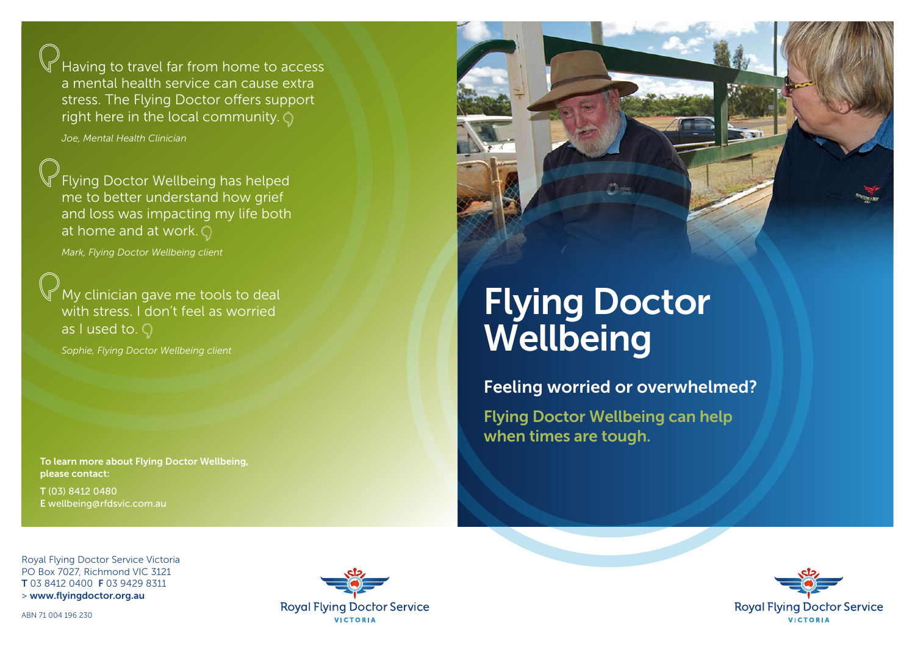Having to travel far from home to access a mental health service can cause extra stress. The Flying Doctor offers support right here in the local community.  $\bigcirc$ 

*Joe, Mental Health Clinician*

Flying Doctor Wellbeing has helped me to better understand how grief and loss was impacting my life both at home and at work.  $\mathbb{Q}$ 

*Mark, Flying Doctor Wellbeing client*

My clinician gave me tools to deal with stress. I don't feel as worried as I used to.  $\bigcirc$ 

*Sophie, Flying Doctor Wellbeing client*

To learn more about Flying Doctor Wellbeing, please contact:

T (03) 8412 0480 E wellbeing@rfdsvic.com.au



# Flying Doctor **Wellbeing**

Feeling worried or overwhelmed?

Flying Doctor Wellbeing can help when times are tough.

Royal Flying Doctor Service Victoria PO Box 7027, Richmond VIC 3121 T 03 8412 0400 F 03 9429 8311 > www.flyingdoctor.org.au

ABN 71 004 196 230